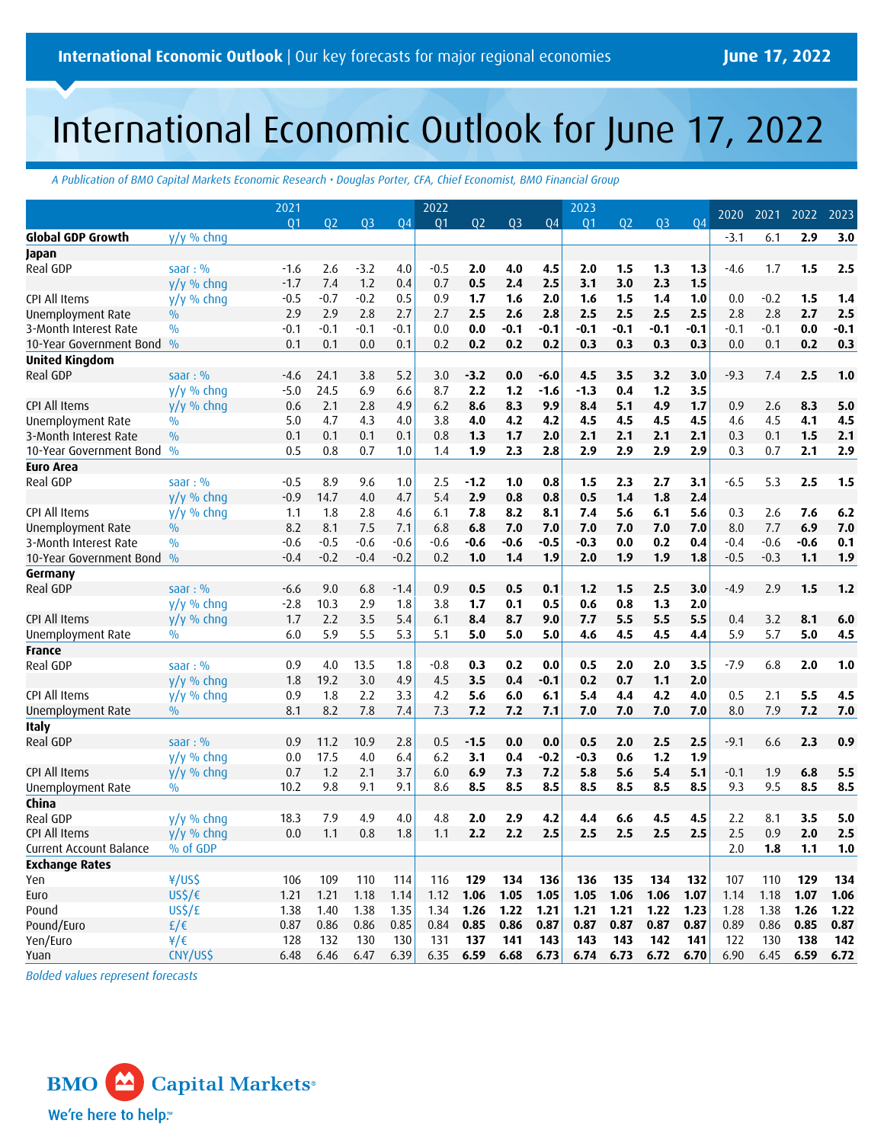# International Economic Outlook for June 17, 2022

*A Publication of BMO Capital Markets Economic Research • Douglas Porter, CFA, Chief Economist, BMO Financial Group*

|                                |                                    | 2021        |             |                |             | 2022           |                |                |              | 2023           |                |                |             | 2020        | 2021        | 2022        | 2023         |
|--------------------------------|------------------------------------|-------------|-------------|----------------|-------------|----------------|----------------|----------------|--------------|----------------|----------------|----------------|-------------|-------------|-------------|-------------|--------------|
|                                |                                    | 01          | 02          | Q <sub>3</sub> | 04          | Q <sub>1</sub> | Q <sub>2</sub> | Q <sub>3</sub> | 04           | Q <sub>1</sub> | Q <sub>2</sub> | Q <sub>3</sub> | 04          |             |             |             |              |
| Global GDP Growth              | $y/y \%$ chng                      |             |             |                |             |                |                |                |              |                |                |                |             | $-3.1$      | 6.1         | 2.9         | 3.0          |
| Japan                          |                                    |             |             |                |             |                |                |                |              |                |                |                |             |             |             |             |              |
| Real GDP                       | saar: $%$                          | $-1.6$      | 2.6         | $-3.2$         | 4.0         | $-0.5$         | 2.0            | 4.0            | 4.5          | 2.0            | 1.5            | 1.3            | 1.3         | $-4.6$      | 1.7         | 1.5         | 2.5          |
|                                | $y/y$ % chng                       | $-1.7$      | 7.4         | 1.2            | 0.4         | 0.7            | 0.5            | 2.4            | 2.5          | 3.1            | 3.0            | 2.3            | 1.5         |             |             |             |              |
| CPI All Items                  | $y/y$ % chnq                       | $-0.5$      | $-0.7$      | $-0.2$         | 0.5         | 0.9            | 1.7            | 1.6            | 2.0          | 1.6            | 1.5            | 1.4            | 1.0         | 0.0         | $-0.2$      | 1.5         | 1.4          |
| Unemployment Rate              | $\frac{0}{0}$                      | 2.9         | 2.9         | 2.8            | 2.7         | 2.7            | 2.5            | 2.6            | 2.8          | 2.5            | 2.5            | 2.5            | 2.5         | 2.8         | 2.8         | 2.7         | 2.5          |
| 3-Month Interest Rate          | $\frac{0}{0}$                      | $-0.1$      | $-0.1$      | $-0.1$         | $-0.1$      | 0.0            | 0.0            | $-0.1$         | -0.1         | $-0.1$         | $-0.1$         | $-0.1$         | $-0.1$      | $-0.1$      | $-0.1$      | 0.0         | $-0.1$       |
| 10-Year Government Bond        | $\frac{0}{0}$                      | 0.1         | 0.1         | 0.0            | 0.1         | 0.2            | 0.2            | 0.2            | 0.2          | 0.3            | 0.3            | 0.3            | 0.3         | 0.0         | 0.1         | 0.2         | 0.3          |
| <b>United Kingdom</b>          |                                    |             |             |                |             |                |                |                |              |                |                |                |             |             |             |             |              |
| Real GDP                       | saar: $%$                          | -4.6        | 24.1        | 3.8            | 5.2         | 3.0            | $-3.2$         | 0.0            | $-6.0$       | 4.5            | 3.5            | 3.2            | 3.0         | $-9.3$      | 7.4         | 2.5         | 1.0          |
|                                | y/y % chnq                         | $-5.0$      | 24.5        | 6.9            | 6.6         | 8.7            | 2.2            | 1.2            | $-1.6$       | $-1.3$         | 0.4            | 1.2            | 3.5         |             |             |             |              |
| <b>CPI All Items</b>           | $y/y$ % chng                       | 0.6         | 2.1         | 2.8            | 4.9         | 6.2            | 8.6            | 8.3            | 9.9          | 8.4            | 5.1            | 4.9            | 1.7         | 0.9         | 2.6         | 8.3         | 5.0          |
| Unemployment Rate              | $\frac{0}{0}$                      | 5.0         | 4.7         | 4.3            | 4.0         | 3.8            | 4.0            | 4.2            | 4.2          | 4.5            | 4.5            | 4.5            | 4.5         | 4.6         | 4.5         | 4.1         | 4.5          |
| 3-Month Interest Rate          | $\frac{0}{0}$                      | 0.1         | 0.1         | 0.1            | 0.1         | 0.8            | 1.3            | 1.7            | 2.0          | 2.1            | 2.1            | 2.1            | 2.1         | 0.3         | 0.1         | 1.5         | 2.1          |
| 10-Year Government Bond        | $\frac{0}{0}$                      | 0.5         | 0.8         | 0.7            | 1.0         | 1.4            | 1.9            | 2.3            | 2.8          | 2.9            | 2.9            | 2.9            | 2.9         | 0.3         | 0.7         | 2.1         | 2.9          |
| <b>Euro Area</b>               |                                    |             |             |                |             |                |                |                |              |                |                |                |             |             |             |             |              |
| Real GDP                       | saar: $%$                          | $-0.5$      | 8.9         | 9.6            | 1.0         | 2.5            | $-1.2$         | 1.0            | 0.8          | 1.5            | 2.3            | 2.7            | 3.1         | $-6.5$      | 5.3         | 2.5         | 1.5          |
|                                | y/y % chng                         | $-0.9$      | 14.7        | 4.0            | 4.7         | 5.4            | 2.9            | 0.8            | 0.8          | 0.5            | 1.4            | 1.8            | 2.4         |             |             |             |              |
| CPI All Items                  | y/y % chnq                         | 1.1         | 1.8         | 2.8            | 4.6         | 6.1            | 7.8            | 8.2            | 8.1          | 7.4            | 5.6            | 6.1            | 5.6         | 0.3         | 2.6         | 7.6         | 6.2          |
| Unemployment Rate              | $\frac{0}{0}$                      | 8.2         | 8.1         | 7.5            | 7.1         | 6.8            | 6.8            | 7.0            | 7.0          | 7.0            | 7.0            | 7.0            | 7.0         | 8.0         | 7.7         | 6.9         | 7.0          |
| 3-Month Interest Rate          | $\frac{0}{0}$                      | $-0.6$      | $-0.5$      | $-0.6$         | $-0.6$      | $-0.6$         | $-0.6$         | $-0.6$         | -0.5         | -0.3           | 0.0            | 0.2            | 0.4         | $-0.4$      | $-0.6$      | $-0.6$      | 0.1          |
| 10-Year Government Bond        | $\frac{0}{0}$                      | $-0.4$      | $-0.2$      | $-0.4$         | $-0.2$      | 0.2            | 1.0            | 1.4            | 1.9          | 2.0            | 1.9            | 1.9            | 1.8         | $-0.5$      | $-0.3$      | 1.1         | 1.9          |
| Germany                        |                                    |             |             |                |             |                |                |                |              |                |                |                |             |             |             |             |              |
| Real GDP                       | saar: $%$                          | $-6.6$      | 9.0         | 6.8            | $-1.4$      | 0.9            | 0.5            | 0.5            | 0.1          | $1.2$          | 1.5            | 2.5            | 3.0         | $-4.9$      | 2.9         | 1.5         | 1.2          |
|                                | $y/y$ % chng                       | $-2.8$      | 10.3        | 2.9            | 1.8         | 3.8            | 1.7            | 0.1            | 0.5          | 0.6            | 0.8            | 1.3            | 2.0         |             |             |             |              |
| CPI All Items                  | y/y % chnq                         | 1.7         | 2.2         | 3.5            | 5.4         | 6.1            | 8.4            | 8.7            | 9.0          | 7.7            | 5.5            | 5.5            | 5.5         | 0.4         | 3.2         | 8.1         | 6.0          |
| Unemployment Rate              | $\frac{0}{0}$                      | 6.0         | 5.9         | 5.5            | 5.3         | 5.1            | 5.0            | 5.0            | 5.0          | 4.6            | 4.5            | 4.5            | 4.4         | 5.9         | 5.7         | 5.0         | 4.5          |
| France                         |                                    |             |             |                |             |                |                |                |              |                |                |                |             |             |             |             |              |
| Real GDP                       | saar: $%$                          | 0.9         | 4.0         | 13.5           | 1.8         | $-0.8$         | 0.3            | 0.2            | 0.0          | 0.5            | 2.0            | 2.0            | 3.5         | $-7.9$      | 6.8         | 2.0         | 1.0          |
|                                | $y/y$ % chng                       | 1.8         | 19.2        | 3.0            | 4.9         | 4.5            | 3.5            | 0.4            | $-0.1$       | 0.2            | 0.7            | 1.1            | 2.0         |             |             |             |              |
| CPI All Items                  | $y/y \%$ chng                      | 0.9         | 1.8         | 2.2            | 3.3         | 4.2            | 5.6            | 6.0            | 6.1          | 5.4            | 4.4            | 4.2            | 4.0         | 0.5         | 2.1         | 5.5         | 4.5          |
| Unemployment Rate              | $\frac{0}{0}$                      | 8.1         | 8.2         | 7.8            | 7.4         | 7.3            | 7.2            | 7.2            | 7.1          | 7.0            | 7.0            | 7.0            | 7.0         | 8.0         | 7.9         | 7.2         | 7.0          |
| <b>Italy</b>                   |                                    |             |             |                |             |                |                |                |              |                |                |                |             |             |             |             |              |
| Real GDP                       | saar: $%$                          | 0.9         | 11.2        | 10.9           | 2.8         | 0.5            | $-1.5$         | 0.0            | 0.0          | 0.5            | 2.0            | 2.5            | 2.5         | $-9.1$      | 6.6         | 2.3         | 0.9          |
|                                | $y/y \%$ chng                      | 0.0         | 17.5        | 4.0            | 6.4         | 6.2            | 3.1            | 0.4            | $-0.2$       | $-0.3$         | 0.6            | 1.2            | 1.9         |             |             |             |              |
| CPI All Items                  | $y/y \%$ chng                      | 0.7         | 1.2         | 2.1            | 3.7         | 6.0            | 6.9            | 7.3            | 7.2          | 5.8            | 5.6            | 5.4            | 5.1         | $-0.1$      | 1.9         | 6.8         | 5.5          |
| Unemployment Rate              | $\frac{0}{0}$                      | 10.2        | 9.8         | 9.1            | 9.1         | 8.6            | 8.5            | 8.5            | 8.5          | 8.5            | 8.5            | 8.5            | 8.5         | 9.3         | 9.5         | 8.5         | 8.5          |
| China                          |                                    |             |             |                |             |                |                |                |              |                |                |                |             |             |             |             |              |
| Real GDP                       | $y/y \%$ chng                      | 18.3        | 7.9         | 4.9            | 4.0         | 4.8            | 2.0            | 2.9            | 4.2          | 4.4            | 6.6            | 4.5            | 4.5         | 2.2         | 8.1         | 3.5         | 5.0          |
| CPI All Items                  | y/y % chnq                         | 0.0         | 1.1         | 0.8            | 1.8         | 1.1            | 2.2            | 2.2            | 2.5          | 2.5            | 2.5            | 2.5            | 2.5         | 2.5         | 0.9         | 2.0         | 2.5          |
| <b>Current Account Balance</b> | % of GDP                           |             |             |                |             |                |                |                |              |                |                |                |             | 2.0         | 1.8         | $1.1$       | $1.0$        |
| <b>Exchange Rates</b>          |                                    |             |             |                |             |                |                |                |              |                |                |                |             |             |             |             |              |
| Yen                            | ¥/US\$                             | 106         | 109         | 110            | 114         | 116            | 129            | 134            | 136          | 136            | 135            | 134            | 132         | 107         | 110         | 129         | 134          |
|                                |                                    |             |             |                |             |                |                |                |              |                |                |                |             |             |             | 1.07        |              |
| Euro<br>Pound                  | $US\frac{2}{5}$ / $\epsilon$       | 1.21        | 1.21        | 1.18           | 1.14        | 1.12           | 1.06<br>1.26   | 1.05<br>1.22   | 1.05<br>1.21 | 1.05<br>1.21   | 1.06<br>1.21   | 1.06<br>1.22   | 1.07        | 1.14        | 1.18        | 1.26        | 1.06         |
| Pound/Euro                     | US <sub>5</sub> /f<br>$f/\epsilon$ | 1.38        | 1.40        | 1.38           | 1.35        | 1.34<br>0.84   |                |                |              |                | 0.87           | 0.87           | 1.23        | 1.28        | 1.38        |             | 1.22<br>0.87 |
| Yen/Euro                       | ¥/€                                | 0.87<br>128 | 0.86<br>132 | 0.86<br>130    | 0.85<br>130 | 131            | 0.85<br>137    | 0.86<br>141    | 0.87<br>143  | 0.87<br>143    | 143            | 142            | 0.87<br>141 | 0.89<br>122 | 0.86<br>130 | 0.85<br>138 | 142          |
|                                |                                    |             |             |                |             |                |                | 6.68           |              |                |                |                |             |             |             |             |              |
| Yuan                           | CNY/US\$                           | 6.48        | 6.46        | 6.47           | 6.39        | 6.35           | 6.59           |                | 6.73         | 6.74           | 6.73           | 6.72           | 6.70        | 6.90        | 6.45        | 6.59        | 6.72         |

*Bolded values represent forecasts*